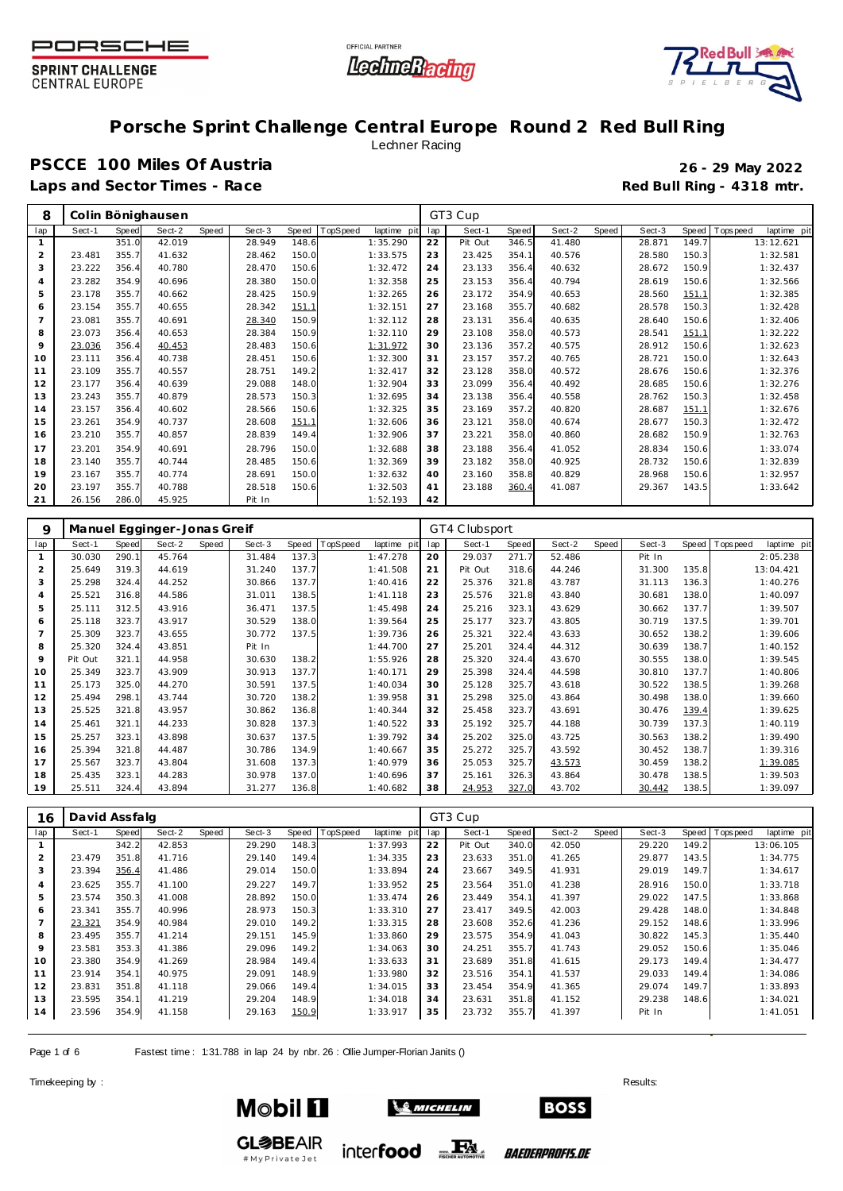

┯





## **Porsche Sprint Challenge Central Europe Round 2 Red Bull Ring**

### Lechner Racing

# **PSCCE 100 Miles Of Austria 26 - 29 May 2022**

Laps and Sector Times - Race **Race** *Race* **Red Bull Ring - 4318 mtr.** 

| 8   |        |       | Colin Bönighausen |       |        |       |          |             |     | GT3 Cup |       |        |       |        |       |           |             |
|-----|--------|-------|-------------------|-------|--------|-------|----------|-------------|-----|---------|-------|--------|-------|--------|-------|-----------|-------------|
| lap | Sect-1 | Speed | Sect-2            | Speed | Sect-3 | Speed | TopSpeed | laptime pit | lap | Sect-1  | Speed | Sect-2 | Speed | Sect-3 | Speed | Tops peed | laptime pit |
|     |        | 351.0 | 42.019            |       | 28.949 | 148.6 |          | 1:35.290    | 22  | Pit Out | 346.5 | 41.480 |       | 28.871 | 149.7 |           | 13:12.621   |
| 2   | 23.481 | 355.7 | 41.632            |       | 28.462 | 150.0 |          | 1:33.575    | 23  | 23.425  | 354.1 | 40.576 |       | 28.580 | 150.3 |           | 1:32.581    |
| 3   | 23.222 | 356.4 | 40.780            |       | 28.470 | 150.6 |          | 1:32.472    | 24  | 23.133  | 356.4 | 40.632 |       | 28.672 | 150.9 |           | 1:32.437    |
| 4   | 23.282 | 354.9 | 40.696            |       | 28.380 | 150.0 |          | 1:32.358    | 25  | 23.153  | 356.4 | 40.794 |       | 28.619 | 150.6 |           | 1:32.566    |
| 5   | 23.178 | 355.7 | 40.662            |       | 28.425 | 150.9 |          | 1:32.265    | 26  | 23.172  | 354.9 | 40.653 |       | 28.560 | 151.1 |           | 1:32.385    |
| 6   | 23.154 | 355.7 | 40.655            |       | 28.342 | 151.1 |          | 1:32.151    | 27  | 23.168  | 355.7 | 40.682 |       | 28.578 | 150.3 |           | 1:32.428    |
|     | 23.081 | 355.7 | 40.691            |       | 28.340 | 150.9 |          | 1:32.112    | 28  | 23.131  | 356.4 | 40.635 |       | 28.640 | 150.6 |           | 1:32.406    |
| 8   | 23.073 | 356.4 | 40.653            |       | 28.384 | 150.9 |          | 1:32.110    | 29  | 23.108  | 358.0 | 40.573 |       | 28.541 | 151.1 |           | 1:32.222    |
| 9   | 23.036 | 356.4 | 40.453            |       | 28.483 | 150.6 |          | 1:31.972    | 30  | 23.136  | 357.2 | 40.575 |       | 28.912 | 150.6 |           | 1:32.623    |
| 10  | 23.111 | 356.4 | 40.738            |       | 28.451 | 150.6 |          | 1:32.300    | 31  | 23.157  | 357.2 | 40.765 |       | 28.721 | 150.0 |           | 1:32.643    |
| 11  | 23.109 | 355.7 | 40.557            |       | 28.751 | 149.2 |          | 1:32.417    | 32  | 23.128  | 358.0 | 40.572 |       | 28.676 | 150.6 |           | 1:32.376    |
| 12  | 23.177 | 356.4 | 40.639            |       | 29.088 | 148.0 |          | 1:32.904    | 33  | 23.099  | 356.4 | 40.492 |       | 28.685 | 150.6 |           | 1:32.276    |
| 13  | 23.243 | 355.7 | 40.879            |       | 28.573 | 150.3 |          | 1:32.695    | 34  | 23.138  | 356.4 | 40.558 |       | 28.762 | 150.3 |           | 1:32.458    |
| 14  | 23.157 | 356.4 | 40.602            |       | 28.566 | 150.6 |          | 1:32.325    | 35  | 23.169  | 357.2 | 40.820 |       | 28.687 | 151.1 |           | 1:32.676    |
| 15  | 23.261 | 354.9 | 40.737            |       | 28.608 | 151.1 |          | 1:32.606    | 36  | 23.121  | 358.0 | 40.674 |       | 28.677 | 150.3 |           | 1:32.472    |
| 16  | 23.210 | 355.7 | 40.857            |       | 28.839 | 149.4 |          | 1:32.906    | 37  | 23.221  | 358.0 | 40.860 |       | 28.682 | 150.9 |           | 1:32.763    |
| 17  | 23.201 | 354.9 | 40.691            |       | 28.796 | 150.0 |          | 1:32.688    | 38  | 23.188  | 356.4 | 41.052 |       | 28.834 | 150.6 |           | 1:33.074    |
| 18  | 23.140 | 355.7 | 40.744            |       | 28.485 | 150.6 |          | 1:32.369    | 39  | 23.182  | 358.0 | 40.925 |       | 28.732 | 150.6 |           | 1:32.839    |
| 19  | 23.167 | 355.7 | 40.774            |       | 28.691 | 150.0 |          | 1:32.632    | 40  | 23.160  | 358.8 | 40.829 |       | 28.968 | 150.6 |           | 1:32.957    |
| 20  | 23.197 | 355.7 | 40.788            |       | 28.518 | 150.6 |          | 1:32.503    | 41  | 23.188  | 360.4 | 41.087 |       | 29.367 | 143.5 |           | 1:33.642    |
| 21  | 26.156 | 286.0 | 45.925            |       | Pit In |       |          | 1:52.193    | 42  |         |       |        |       |        |       |           |             |

| 9   |         |       | Manuel Egginger-Jonas Greif |       |        |       |          |             |     | GT4 Clubsport |       |        |       |        |       |          |             |
|-----|---------|-------|-----------------------------|-------|--------|-------|----------|-------------|-----|---------------|-------|--------|-------|--------|-------|----------|-------------|
| lap | Sect-1  | Speed | Sect-2                      | Speed | Sect-3 | Speed | TopSpeed | laptime pit | lap | Sect-1        | Speed | Sect-2 | Speed | Sect-3 | Speed | Topspeed | laptime pit |
|     | 30.030  | 290.1 | 45.764                      |       | 31.484 | 137.3 |          | 1:47.278    | 20  | 29.037        | 271.7 | 52.486 |       | Pit In |       |          | 2:05.238    |
| 2   | 25.649  | 319.3 | 44.619                      |       | 31.240 | 137.7 |          | 1:41.508    | 21  | Pit Out       | 318.6 | 44.246 |       | 31.300 | 135.8 |          | 13:04.421   |
| 3   | 25.298  | 324.4 | 44.252                      |       | 30.866 | 137.7 |          | 1:40.416    | 22  | 25.376        | 321.8 | 43.787 |       | 31.113 | 136.3 |          | 1:40.276    |
| 4   | 25.521  | 316.8 | 44.586                      |       | 31.011 | 138.5 |          | 1:41.118    | 23  | 25.576        | 321.8 | 43.840 |       | 30.681 | 138.0 |          | 1:40.097    |
| 5   | 25.111  | 312.5 | 43.916                      |       | 36.471 | 137.5 |          | 1:45.498    | 24  | 25.216        | 323.1 | 43.629 |       | 30.662 | 137.7 |          | 1:39.507    |
| 6   | 25.118  | 323.7 | 43.917                      |       | 30.529 | 138.0 |          | 1:39.564    | 25  | 25.177        | 323.7 | 43.805 |       | 30.719 | 137.5 |          | 1:39.701    |
|     | 25.309  | 323.7 | 43.655                      |       | 30.772 | 137.5 |          | 1:39.736    | 26  | 25.321        | 322.4 | 43.633 |       | 30.652 | 138.2 |          | 1:39.606    |
| 8   | 25.320  | 324.4 | 43.851                      |       | Pit In |       |          | 1:44.700    | 27  | 25.201        | 324.4 | 44.312 |       | 30.639 | 138.7 |          | 1:40.152    |
| 9   | Pit Out | 321.1 | 44.958                      |       | 30.630 | 138.2 |          | 1:55.926    | 28  | 25.320        | 324.4 | 43.670 |       | 30.555 | 138.0 |          | 1:39.545    |
| 10  | 25.349  | 323.7 | 43.909                      |       | 30.913 | 137.7 |          | 1:40.171    | 29  | 25.398        | 324.4 | 44.598 |       | 30.810 | 137.7 |          | 1:40.806    |
| 11  | 25.173  | 325.0 | 44.270                      |       | 30.591 | 137.5 |          | 1:40.034    | 30  | 25.128        | 325.7 | 43.618 |       | 30.522 | 138.5 |          | 1:39.268    |
| 12  | 25.494  | 298.1 | 43.744                      |       | 30.720 | 138.2 |          | 1:39.958    | 31  | 25.298        | 325.0 | 43.864 |       | 30.498 | 138.0 |          | 1:39.660    |
| 13  | 25.525  | 321.8 | 43.957                      |       | 30.862 | 136.8 |          | 1:40.344    | 32  | 25.458        | 323.7 | 43.691 |       | 30.476 | 139.4 |          | 1:39.625    |
| 14  | 25.461  | 321.1 | 44.233                      |       | 30.828 | 137.3 |          | 1:40.522    | 33  | 25.192        | 325.7 | 44.188 |       | 30.739 | 137.3 |          | 1:40.119    |
| 15  | 25.257  | 323.1 | 43.898                      |       | 30.637 | 137.5 |          | 1:39.792    | 34  | 25.202        | 325.0 | 43.725 |       | 30.563 | 138.2 |          | 1:39.490    |
| 16  | 25.394  | 321.8 | 44.487                      |       | 30.786 | 134.9 |          | 1:40.667    | 35  | 25.272        | 325.7 | 43.592 |       | 30.452 | 138.7 |          | 1:39.316    |
| 17  | 25.567  | 323.7 | 43.804                      |       | 31.608 | 137.3 |          | 1:40.979    | 36  | 25.053        | 325.7 | 43.573 |       | 30.459 | 138.2 |          | 1:39.085    |
| 18  | 25.435  | 323.1 | 44.283                      |       | 30.978 | 137.0 |          | 1:40.696    | 37  | 25.161        | 326.3 | 43.864 |       | 30.478 | 138.5 |          | 1:39.503    |
| 19  | 25.511  | 324.4 | 43.894                      |       | 31.277 | 136.8 |          | 1:40.682    | 38  | 24.953        | 327.0 | 43.702 |       | 30.442 | 138.5 |          | 1:39.097    |

| 16  | David Assfalg |       |        |       |        |       |                 |             |     | GT3 Cup |       |        |       |        |       |           |             |
|-----|---------------|-------|--------|-------|--------|-------|-----------------|-------------|-----|---------|-------|--------|-------|--------|-------|-----------|-------------|
| lap | Sect-1        | Speed | Sect-2 | Speed | Sect-3 | Speed | <b>TopSpeed</b> | laptime pit | lap | Sect-1  | Speed | Sect-2 | Speed | Sect-3 | Speed | Tops peed | laptime pit |
|     |               | 342.2 | 42.853 |       | 29.290 | 148.3 |                 | 1:37.993    | 22  | Pit Out | 340.0 | 42.050 |       | 29.220 | 149.2 |           | 13:06.105   |
|     | 23.479        | 351.8 | 41.716 |       | 29.140 | 149.4 |                 | 1:34.335    | 23  | 23.633  | 351.0 | 41.265 |       | 29.877 | 143.5 |           | 1:34.775    |
| 3   | 23.394        | 356.4 | 41.486 |       | 29.014 | 150.0 |                 | 1:33.894    | 24  | 23.667  | 349.5 | 41.931 |       | 29.019 | 149.7 |           | 1:34.617    |
| 4   | 23.625        | 355.7 | 41.100 |       | 29.227 | 149.7 |                 | 1:33.952    | 25  | 23.564  | 351.0 | 41.238 |       | 28.916 | 150.0 |           | 1:33.718    |
| 5   | 23.574        | 350.3 | 41.008 |       | 28.892 | 150.0 |                 | 1:33.474    | 26  | 23.449  | 354.1 | 41.397 |       | 29.022 | 147.5 |           | 1:33.868    |
| 6   | 23.341        | 355.7 | 40.996 |       | 28.973 | 150.3 |                 | 1:33.310    | 27  | 23.417  | 349.5 | 42.003 |       | 29.428 | 148.0 |           | 1:34.848    |
|     | 23.321        | 354.9 | 40.984 |       | 29.010 | 149.2 |                 | 1:33.315    | 28  | 23.608  | 352.6 | 41.236 |       | 29.152 | 148.6 |           | 1:33.996    |
| 8   | 23.495        | 355.7 | 41.214 |       | 29.151 | 145.9 |                 | 1:33.860    | 29  | 23.575  | 354.9 | 41.043 |       | 30.822 | 145.3 |           | 1:35.440    |
| 9   | 23.581        | 353.3 | 41.386 |       | 29.096 | 149.2 |                 | 1:34.063    | 30  | 24.251  | 355.7 | 41.743 |       | 29.052 | 150.6 |           | 1:35.046    |
| 10  | 23.380        | 354.9 | 41.269 |       | 28.984 | 149.4 |                 | 1:33.633    | 31  | 23.689  | 351.8 | 41.615 |       | 29.173 | 149.4 |           | 1:34.477    |
| 11  | 23.914        | 354.1 | 40.975 |       | 29.091 | 148.9 |                 | 1:33.980    | 32  | 23.516  | 354.1 | 41.537 |       | 29.033 | 149.4 |           | 1:34.086    |
| 12  | 23.831        | 351.8 | 41.118 |       | 29.066 | 149.4 |                 | 1:34.015    | 33  | 23.454  | 354.9 | 41.365 |       | 29.074 | 149.7 |           | 1:33.893    |
| 13  | 23.595        | 354.1 | 41.219 |       | 29.204 | 148.9 |                 | 1:34.018    | 34  | 23.631  | 351.8 | 41.152 |       | 29.238 | 148.6 |           | 1:34.021    |
| 14  | 23.596        | 354.9 | 41.158 |       | 29.163 | 150.9 |                 | 1:33.917    | 35  | 23.732  | 355.7 | 41.397 |       | Pit In |       |           | 1:41.051    |

Page 1 of 6 Fastest time: 1:31.788 in lap 24 by nbr. 26 : Ollie Jumper-Florian Janits ()

#MyPrivateJet

Timekeeping by : Results:  $\blacksquare$ 





**BOSS** 

*BAEDERPROFIS.DE*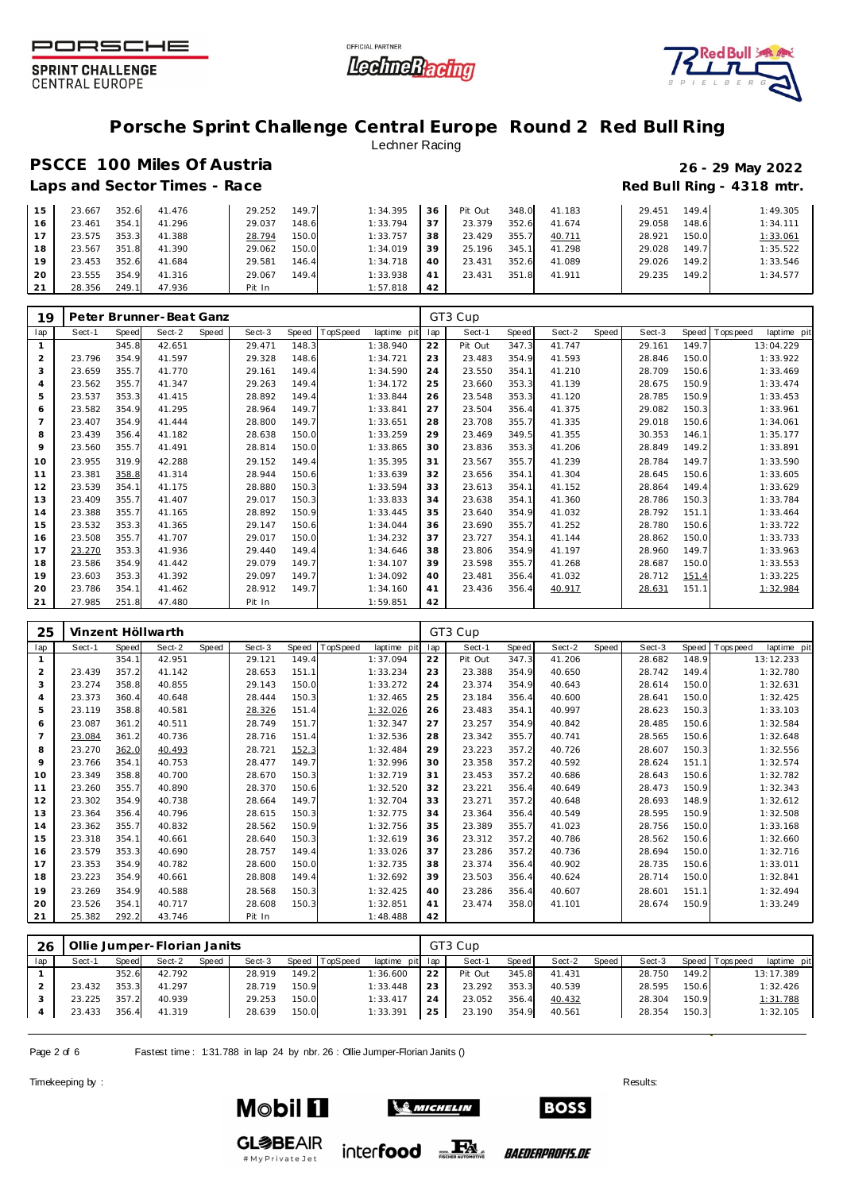





## **Porsche Sprint Challenge Central Europe Round 2 Red Bull Ring**

### Lechner Racing

## **PSCCE 100 Miles Of Austria 26 - 29 May 2022** Laps and Sector Times - Race **Race** *Race* **Red Bull Ring - 4318 mtr.**

| 15 | 23.667 | 352.6 | 41.476 | 29.252 | 149.7 | 1:34.395 | 36 | Pit Out | 348.0 | 41.183 | 29.451 | 149.4 | 1:49.305 |
|----|--------|-------|--------|--------|-------|----------|----|---------|-------|--------|--------|-------|----------|
| 16 | 23.461 | 354.1 | 41.296 | 29.037 | 148.6 | 1:33.794 | 37 | 23.379  | 352.6 | 41.674 | 29.058 | 148.6 | 1:34.111 |
|    | 23.575 | 353.3 | 41.388 | 28.794 | 150.0 | 1:33.757 | 38 | 23.429  | 355.7 | 40.711 | 28.921 | 150.0 | 1:33.061 |
| 18 | 23.567 | 351.8 | 41.390 | 29.062 | 150.0 | 1:34.019 | 39 | 25.196  | 345.1 | 41.298 | 29.028 | 149.7 | 1:35.522 |
| 19 | 23.453 | 352.6 | 41.684 | 29.581 | 146.4 | 1:34.718 | 40 | 23.431  | 352.6 | 41.089 | 29.026 | 149.2 | 1:33.546 |
| 20 | 23.555 | 354.9 | 41.316 | 29.067 | 149.4 | 1:33.938 | 41 | 23.431  | 351.8 | 41.911 | 29.235 | 149.2 | 1:34.577 |
| 21 | 28.356 | 249.1 | 47.936 | Pit In |       | 1:57.818 | 42 |         |       |        |        |       |          |

| 19             |        |       | Peter Brunner-Beat Ganz |       |        |       |          |             |     | GT3 Cup |       |        |       |        |       |                          |
|----------------|--------|-------|-------------------------|-------|--------|-------|----------|-------------|-----|---------|-------|--------|-------|--------|-------|--------------------------|
| lap            | Sect-1 | Speed | Sect-2                  | Speed | Sect-3 | Speed | TopSpeed | laptime pit | lap | Sect-1  | Speed | Sect-2 | Speed | Sect-3 | Speed | Tops peed<br>laptime pit |
|                |        | 345.8 | 42.651                  |       | 29.471 | 148.3 |          | 1:38.940    | 22  | Pit Out | 347.3 | 41.747 |       | 29.161 | 149.7 | 13:04.229                |
| 2              | 23.796 | 354.9 | 41.597                  |       | 29.328 | 148.6 |          | 1:34.721    | 23  | 23.483  | 354.9 | 41.593 |       | 28.846 | 150.0 | 1:33.922                 |
| 3              | 23.659 | 355.7 | 41.770                  |       | 29.161 | 149.4 |          | 1:34.590    | 24  | 23.550  | 354.1 | 41.210 |       | 28.709 | 150.6 | 1:33.469                 |
| 4              | 23.562 | 355.7 | 41.347                  |       | 29.263 | 149.4 |          | 1:34.172    | 25  | 23.660  | 353.3 | 41.139 |       | 28.675 | 150.9 | 1:33.474                 |
| 5              | 23.537 | 353.3 | 41.415                  |       | 28.892 | 149.4 |          | 1:33.844    | 26  | 23.548  | 353.3 | 41.120 |       | 28.785 | 150.9 | 1:33.453                 |
| 6              | 23.582 | 354.9 | 41.295                  |       | 28.964 | 149.7 |          | 1:33.841    | 27  | 23.504  | 356.4 | 41.375 |       | 29.082 | 150.3 | 1:33.961                 |
| $\overline{7}$ | 23.407 | 354.9 | 41.444                  |       | 28.800 | 149.7 |          | 1:33.651    | 28  | 23.708  | 355.7 | 41.335 |       | 29.018 | 150.6 | 1:34.061                 |
| 8              | 23.439 | 356.4 | 41.182                  |       | 28.638 | 150.0 |          | 1:33.259    | 29  | 23.469  | 349.5 | 41.355 |       | 30.353 | 146.1 | 1:35.177                 |
| 9              | 23.560 | 355.7 | 41.491                  |       | 28.814 | 150.0 |          | 1:33.865    | 30  | 23.836  | 353.3 | 41.206 |       | 28.849 | 149.2 | 1:33.891                 |
| 10             | 23.955 | 319.9 | 42.288                  |       | 29.152 | 149.4 |          | 1:35.395    | 31  | 23.567  | 355.7 | 41.239 |       | 28.784 | 149.7 | 1:33.590                 |
| 11             | 23.381 | 358.8 | 41.314                  |       | 28.944 | 150.6 |          | 1:33.639    | 32  | 23.656  | 354.1 | 41.304 |       | 28.645 | 150.6 | 1:33.605                 |
| 12             | 23.539 | 354.1 | 41.175                  |       | 28.880 | 150.3 |          | 1:33.594    | 33  | 23.613  | 354.1 | 41.152 |       | 28.864 | 149.4 | 1:33.629                 |
| 13             | 23.409 | 355.7 | 41.407                  |       | 29.017 | 150.3 |          | 1:33.833    | 34  | 23.638  | 354.1 | 41.360 |       | 28.786 | 150.3 | 1:33.784                 |
| 14             | 23.388 | 355.7 | 41.165                  |       | 28.892 | 150.9 |          | 1:33.445    | 35  | 23.640  | 354.9 | 41.032 |       | 28.792 | 151.1 | 1:33.464                 |
| 15             | 23.532 | 353.3 | 41.365                  |       | 29.147 | 150.6 |          | 1:34.044    | 36  | 23.690  | 355.7 | 41.252 |       | 28.780 | 150.6 | 1:33.722                 |
| 16             | 23.508 | 355.7 | 41.707                  |       | 29.017 | 150.0 |          | 1:34.232    | 37  | 23.727  | 354.1 | 41.144 |       | 28.862 | 150.0 | 1:33.733                 |
| 17             | 23.270 | 353.3 | 41.936                  |       | 29.440 | 149.4 |          | 1:34.646    | 38  | 23.806  | 354.9 | 41.197 |       | 28.960 | 149.7 | 1:33.963                 |
| 18             | 23.586 | 354.9 | 41.442                  |       | 29.079 | 149.7 |          | 1:34.107    | 39  | 23.598  | 355.7 | 41.268 |       | 28.687 | 150.0 | 1:33.553                 |
| 19             | 23.603 | 353.3 | 41.392                  |       | 29.097 | 149.7 |          | 1:34.092    | 40  | 23.481  | 356.4 | 41.032 |       | 28.712 | 151.4 | 1:33.225                 |
| 20             | 23.786 | 354.1 | 41.462                  |       | 28.912 | 149.7 |          | 1:34.160    | 41  | 23.436  | 356.4 | 40.917 |       | 28.631 | 151.1 | 1:32.984                 |
| 21             | 27.985 | 251.8 | 47.480                  |       | Pit In |       |          | 1:59.851    | 42  |         |       |        |       |        |       |                          |

| 25             |        |       | Vinzent Höllwarth |       |        |       |          |             |     | GT3 Cup |       |        |       |        |       |                  |             |
|----------------|--------|-------|-------------------|-------|--------|-------|----------|-------------|-----|---------|-------|--------|-------|--------|-------|------------------|-------------|
| lap            | Sect-1 | Speed | Sect-2            | Speed | Sect-3 | Speed | TopSpeed | laptime pit | lap | Sect-1  | Speed | Sect-2 | Speed | Sect-3 | Speed | <b>Tops peed</b> | laptime pit |
| $\mathbf{1}$   |        | 354.1 | 42.951            |       | 29.121 | 149.4 |          | 1:37.094    | 22  | Pit Out | 347.3 | 41.206 |       | 28.682 | 148.9 |                  | 13:12.233   |
| $\overline{2}$ | 23.439 | 357.2 | 41.142            |       | 28.653 | 151.1 |          | 1:33.234    | 23  | 23.388  | 354.9 | 40.650 |       | 28.742 | 149.4 |                  | 1:32.780    |
| 3              | 23.274 | 358.8 | 40.855            |       | 29.143 | 150.0 |          | 1:33.272    | 24  | 23.374  | 354.9 | 40.643 |       | 28.614 | 150.0 |                  | 1:32.631    |
| $\overline{4}$ | 23.373 | 360.4 | 40.648            |       | 28.444 | 150.3 |          | 1:32.465    | 25  | 23.184  | 356.4 | 40.600 |       | 28.641 | 150.0 |                  | 1:32.425    |
| 5              | 23.119 | 358.8 | 40.581            |       | 28.326 | 151.4 |          | 1:32.026    | 26  | 23.483  | 354.1 | 40.997 |       | 28.623 | 150.3 |                  | 1:33.103    |
| 6              | 23.087 | 361.2 | 40.511            |       | 28.749 | 151.7 |          | 1:32.347    | 27  | 23.257  | 354.9 | 40.842 |       | 28.485 | 150.6 |                  | 1:32.584    |
|                | 23.084 | 361.2 | 40.736            |       | 28.716 | 151.4 |          | 1:32.536    | 28  | 23.342  | 355.7 | 40.741 |       | 28.565 | 150.6 |                  | 1:32.648    |
| 8              | 23.270 | 362.0 | 40.493            |       | 28.721 | 152.3 |          | 1:32.484    | 29  | 23.223  | 357.2 | 40.726 |       | 28.607 | 150.3 |                  | 1:32.556    |
| 9              | 23.766 | 354.1 | 40.753            |       | 28.477 | 149.7 |          | 1:32.996    | 30  | 23.358  | 357.2 | 40.592 |       | 28.624 | 151.1 |                  | 1:32.574    |
| 10             | 23.349 | 358.8 | 40.700            |       | 28.670 | 150.3 |          | 1:32.719    | 31  | 23.453  | 357.2 | 40.686 |       | 28.643 | 150.6 |                  | 1:32.782    |
| 11             | 23.260 | 355.7 | 40.890            |       | 28.370 | 150.6 |          | 1:32.520    | 32  | 23.221  | 356.4 | 40.649 |       | 28.473 | 150.9 |                  | 1:32.343    |
| 12             | 23.302 | 354.9 | 40.738            |       | 28.664 | 149.7 |          | 1:32.704    | 33  | 23.271  | 357.2 | 40.648 |       | 28.693 | 148.9 |                  | 1:32.612    |
| 13             | 23.364 | 356.4 | 40.796            |       | 28.615 | 150.3 |          | 1:32.775    | 34  | 23.364  | 356.4 | 40.549 |       | 28.595 | 150.9 |                  | 1:32.508    |
| 14             | 23.362 | 355.7 | 40.832            |       | 28.562 | 150.9 |          | 1:32.756    | 35  | 23.389  | 355.7 | 41.023 |       | 28.756 | 150.0 |                  | 1:33.168    |
| 15             | 23.318 | 354.1 | 40.661            |       | 28.640 | 150.3 |          | 1:32.619    | 36  | 23.312  | 357.2 | 40.786 |       | 28.562 | 150.6 |                  | 1:32.660    |
| 16             | 23.579 | 353.3 | 40.690            |       | 28.757 | 149.4 |          | 1:33.026    | 37  | 23.286  | 357.2 | 40.736 |       | 28.694 | 150.0 |                  | 1:32.716    |
| 17             | 23.353 | 354.9 | 40.782            |       | 28.600 | 150.0 |          | 1:32.735    | 38  | 23.374  | 356.4 | 40.902 |       | 28.735 | 150.6 |                  | 1:33.011    |
| 18             | 23.223 | 354.9 | 40.661            |       | 28.808 | 149.4 |          | 1:32.692    | 39  | 23.503  | 356.4 | 40.624 |       | 28.714 | 150.0 |                  | 1:32.841    |
| 19             | 23.269 | 354.9 | 40.588            |       | 28.568 | 150.3 |          | 1:32.425    | 40  | 23.286  | 356.4 | 40.607 |       | 28.601 | 151.1 |                  | 1:32.494    |
| 20             | 23.526 | 354.1 | 40.717            |       | 28.608 | 150.3 |          | 1:32.851    | 41  | 23.474  | 358.0 | 41.101 |       | 28.674 | 150.9 |                  | 1:33.249    |
| 21             | 25.382 | 292.2 | 43.746            |       | Pit In |       |          | 1:48.488    | 42  |         |       |        |       |        |       |                  |             |

| 26  |        |       | Ollie Jumper-Florian Janits |       |        |       |          |                 |    | GT3 Cup |       |        |       |        |       |                 |             |
|-----|--------|-------|-----------------------------|-------|--------|-------|----------|-----------------|----|---------|-------|--------|-------|--------|-------|-----------------|-------------|
| lap | Sect-1 | Speed | Sect-2                      | Speed | Sect-3 | Speed | TopSpeed | laptime pit lap |    | Sect-1  | Speed | Sect-2 | Speed | Sect-3 |       | Speed Tops peed | laptime pit |
|     |        | 352.6 | 42.792                      |       | 28.919 | 149.2 |          | 1:36.600        | 22 | Pit Out | 345.8 | 41.431 |       | 28.750 | 149.2 |                 | 13:17.389   |
|     | 23.432 | 353.3 | 41.297                      |       | 28.719 | 150.9 |          | 1:33.448        | 23 | 23.292  | 353.3 | 40.539 |       | 28.595 | 150.6 |                 | 1:32.426    |
|     | 23.225 | 357.2 | 40.939                      |       | 29.253 | 150.0 |          | 1:33.417        | 24 | 23.052  | 356.4 | 40.432 |       | 28.304 | 150.9 |                 | 1:31.788    |
|     | 23.433 | 356.4 | 41.319                      |       | 28.639 | 150.0 |          | 1:33.391        | 25 | 23.190  | 354.9 | 40.561 |       | 28.354 | 150.3 |                 | 1:32.105    |
|     |        |       |                             |       |        |       |          |                 |    |         |       |        |       |        |       |                 |             |

Page 2 of 6 Fastest time : 1:31.788 in lap 24 by nbr. 26 : Ollie Jumper-Florian Janits ()

#MyPrivateJet

Timekeeping by : Results:  $\blacksquare$ 



![](_page_1_Picture_14.jpeg)

*BAEDERPROFIS.DE*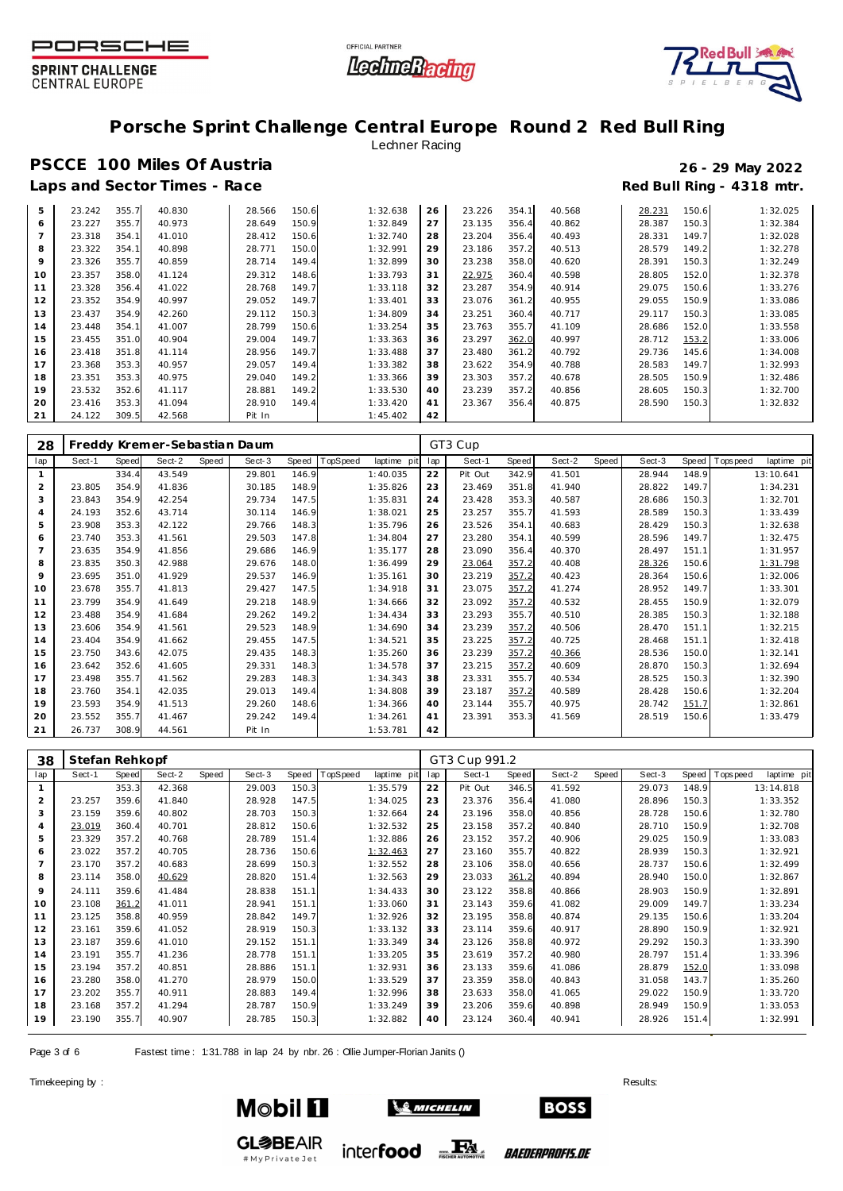![](_page_2_Picture_0.jpeg)

![](_page_2_Picture_1.jpeg)

![](_page_2_Picture_2.jpeg)

## **Porsche Sprint Challenge Central Europe Round 2 Red Bull Ring**

### Lechner Racing

## **PSCCE 100 Miles Of Austria 26 - 29 May 2022** Laps and Sector Times - Race **Race** *Race* **Red Bull Ring - 4318 mtr.**

| 5              |        |       | 40.830 |        | 150.6 | 1:32.638 | 26 | 23.226 | 354.1 | 40.568 |        |       |          |
|----------------|--------|-------|--------|--------|-------|----------|----|--------|-------|--------|--------|-------|----------|
|                | 23.242 | 355.7 |        | 28.566 |       |          |    |        |       |        | 28.231 | 150.6 | 1:32.025 |
| 6              | 23.227 | 355.7 | 40.973 | 28.649 | 150.9 | 1:32.849 | 27 | 23.135 | 356.4 | 40.862 | 28.387 | 150.3 | 1:32.384 |
| $\overline{7}$ | 23.318 | 354.7 | 41.010 | 28.412 | 150.6 | 1:32.740 | 28 | 23.204 | 356.4 | 40.493 | 28.331 | 149.7 | 1:32.028 |
| 8              | 23.322 | 354.7 | 40.898 | 28.771 | 150.0 | 1:32.991 | 29 | 23.186 | 357.2 | 40.513 | 28.579 | 149.2 | 1:32.278 |
| 9              | 23.326 | 355.7 | 40.859 | 28.714 | 149.4 | 1:32.899 | 30 | 23.238 | 358.0 | 40.620 | 28.391 | 150.3 | 1:32.249 |
| 10             | 23.357 | 358.0 | 41.124 | 29.312 | 148.6 | 1:33.793 | 31 | 22.975 | 360.4 | 40.598 | 28.805 | 152.0 | 1:32.378 |
| 11             | 23.328 | 356.4 | 41.022 | 28.768 | 149.7 | 1:33.118 | 32 | 23.287 | 354.9 | 40.914 | 29.075 | 150.6 | 1:33.276 |
| 12             | 23.352 | 354.9 | 40.997 | 29.052 | 149.7 | 1:33.401 | 33 | 23.076 | 361.2 | 40.955 | 29.055 | 150.9 | 1:33.086 |
| 13             | 23.437 | 354.9 | 42.260 | 29.112 | 150.3 | 1:34.809 | 34 | 23.251 | 360.4 | 40.717 | 29.117 | 150.3 | 1:33.085 |
| 14             | 23.448 | 354.7 | 41.007 | 28.799 | 150.6 | 1:33.254 | 35 | 23.763 | 355.7 | 41.109 | 28.686 | 152.0 | 1:33.558 |
| 15             | 23.455 | 351.0 | 40.904 | 29.004 | 149.7 | 1:33.363 | 36 | 23.297 | 362.0 | 40.997 | 28.712 | 153.2 | 1:33.006 |
| 16             | 23.418 | 351.8 | 41.114 | 28.956 | 149.7 | 1:33.488 | 37 | 23.480 | 361.2 | 40.792 | 29.736 | 145.6 | 1:34.008 |
| 17             | 23.368 | 353.3 | 40.957 | 29.057 | 149.4 | 1:33.382 | 38 | 23.622 | 354.9 | 40.788 | 28.583 | 149.7 | 1:32.993 |
| 18             | 23.351 | 353.3 | 40.975 | 29.040 | 149.2 | 1:33.366 | 39 | 23.303 | 357.2 | 40.678 | 28.505 | 150.9 | 1:32.486 |
| 19             | 23.532 | 352.6 | 41.117 | 28.881 | 149.2 | 1:33.530 | 40 | 23.239 | 357.2 | 40.856 | 28.605 | 150.3 | 1:32.700 |
| 20             | 23.416 | 353.3 | 41.094 | 28.910 | 149.4 | 1:33.420 | 41 | 23.367 | 356.4 | 40.875 | 28.590 | 150.3 | 1:32.832 |
| 21             | 24.122 | 309.5 | 42.568 | Pit In |       | 1:45.402 | 42 |        |       |        |        |       |          |

| 28             |        |              | Freddy Kremer-Sebastian Daum |       |        |       |          |             |     | GT3 Cup |       |        |       |        |       |            |             |
|----------------|--------|--------------|------------------------------|-------|--------|-------|----------|-------------|-----|---------|-------|--------|-------|--------|-------|------------|-------------|
| lap            | Sect-1 | <b>Speed</b> | Sect-2                       | Speed | Sect-3 | Speed | TopSpeed | laptime pit | lap | Sect-1  | Speed | Sect-2 | Speed | Sect-3 | Speed | Tops pee d | laptime pit |
|                |        | 334.4        | 43.549                       |       | 29.801 | 146.9 |          | 1:40.035    | 22  | Pit Out | 342.9 | 41.501 |       | 28.944 | 148.9 |            | 13:10.641   |
| $\overline{2}$ | 23.805 | 354.9        | 41.836                       |       | 30.185 | 148.9 |          | 1:35.826    | 23  | 23.469  | 351.8 | 41.940 |       | 28.822 | 149.7 |            | 1:34.231    |
| 3              | 23.843 | 354.9        | 42.254                       |       | 29.734 | 147.5 |          | 1:35.831    | 24  | 23.428  | 353.3 | 40.587 |       | 28.686 | 150.3 |            | 1:32.701    |
| $\overline{4}$ | 24.193 | 352.6        | 43.714                       |       | 30.114 | 146.9 |          | 1:38.021    | 25  | 23.257  | 355.7 | 41.593 |       | 28.589 | 150.3 |            | 1:33.439    |
| 5              | 23.908 | 353.3        | 42.122                       |       | 29.766 | 148.3 |          | 1:35.796    | 26  | 23.526  | 354.1 | 40.683 |       | 28.429 | 150.3 |            | 1:32.638    |
| 6              | 23.740 | 353.3        | 41.561                       |       | 29.503 | 147.8 |          | 1:34.804    | 27  | 23.280  | 354.1 | 40.599 |       | 28.596 | 149.7 |            | 1:32.475    |
|                | 23.635 | 354.9        | 41.856                       |       | 29.686 | 146.9 |          | 1:35.177    | 28  | 23.090  | 356.4 | 40.370 |       | 28.497 | 151.1 |            | 1:31.957    |
| 8              | 23.835 | 350.3        | 42.988                       |       | 29.676 | 148.0 |          | 1:36.499    | 29  | 23.064  | 357.2 | 40.408 |       | 28.326 | 150.6 |            | 1:31.798    |
| 9              | 23.695 | 351.0        | 41.929                       |       | 29.537 | 146.9 |          | 1:35.161    | 30  | 23.219  | 357.2 | 40.423 |       | 28.364 | 150.6 |            | 1:32.006    |
| 10             | 23.678 | 355.7        | 41.813                       |       | 29.427 | 147.5 |          | 1:34.918    | 31  | 23.075  | 357.2 | 41.274 |       | 28.952 | 149.7 |            | 1:33.301    |
| 11             | 23.799 | 354.9        | 41.649                       |       | 29.218 | 148.9 |          | 1:34.666    | 32  | 23.092  | 357.2 | 40.532 |       | 28.455 | 150.9 |            | 1:32.079    |
| 12             | 23.488 | 354.9        | 41.684                       |       | 29.262 | 149.2 |          | 1:34.434    | 33  | 23.293  | 355.7 | 40.510 |       | 28.385 | 150.3 |            | 1:32.188    |
| 13             | 23.606 | 354.9        | 41.561                       |       | 29.523 | 148.9 |          | 1:34.690    | 34  | 23.239  | 357.2 | 40.506 |       | 28.470 | 151.1 |            | 1:32.215    |
| 14             | 23.404 | 354.9        | 41.662                       |       | 29.455 | 147.5 |          | 1:34.521    | 35  | 23.225  | 357.2 | 40.725 |       | 28.468 | 151.1 |            | 1:32.418    |
| 15             | 23.750 | 343.6        | 42.075                       |       | 29.435 | 148.3 |          | 1:35.260    | 36  | 23.239  | 357.2 | 40.366 |       | 28.536 | 150.0 |            | 1:32.141    |
| 16             | 23.642 | 352.6        | 41.605                       |       | 29.331 | 148.3 |          | 1:34.578    | 37  | 23.215  | 357.2 | 40.609 |       | 28.870 | 150.3 |            | 1:32.694    |
| 17             | 23.498 | 355.7        | 41.562                       |       | 29.283 | 148.3 |          | 1:34.343    | 38  | 23.331  | 355.7 | 40.534 |       | 28.525 | 150.3 |            | 1:32.390    |
| 18             | 23.760 | 354.1        | 42.035                       |       | 29.013 | 149.4 |          | 1:34.808    | 39  | 23.187  | 357.2 | 40.589 |       | 28.428 | 150.6 |            | 1:32.204    |
| 19             | 23.593 | 354.9        | 41.513                       |       | 29.260 | 148.6 |          | 1:34.366    | 40  | 23.144  | 355.7 | 40.975 |       | 28.742 | 151.7 |            | 1:32.861    |
| 20             | 23.552 | 355.7        | 41.467                       |       | 29.242 | 149.4 |          | 1:34.261    | 41  | 23.391  | 353.3 | 41.569 |       | 28.519 | 150.6 |            | 1:33.479    |
| 21             | 26.737 | 308.9        | 44.561                       |       | Pit In |       |          | 1:53.781    | 42  |         |       |        |       |        |       |            |             |

| 38             | Stefan Rehkopf |       |        |       |        |       |          |             |     | GT3 Cup 991.2 |       |        |       |        |       |           |             |
|----------------|----------------|-------|--------|-------|--------|-------|----------|-------------|-----|---------------|-------|--------|-------|--------|-------|-----------|-------------|
| lap            | Sect-1         | Speed | Sect-2 | Speed | Sect-3 | Speed | TopSpeed | laptime pit | lap | Sect-1        | Speed | Sect-2 | Speed | Sect-3 | Speed | Tops peed | laptime pit |
|                |                | 353.3 | 42.368 |       | 29.003 | 150.3 |          | 1:35.579    | 22  | Pit Out       | 346.5 | 41.592 |       | 29.073 | 148.9 |           | 13:14.818   |
| 2              | 23.257         | 359.6 | 41.840 |       | 28.928 | 147.5 |          | 1:34.025    | 23  | 23.376        | 356.4 | 41.080 |       | 28.896 | 150.3 |           | 1:33.352    |
| 3              | 23.159         | 359.6 | 40.802 |       | 28.703 | 150.3 |          | 1:32.664    | 24  | 23.196        | 358.0 | 40.856 |       | 28.728 | 150.6 |           | 1:32.780    |
| $\overline{4}$ | 23.019         | 360.4 | 40.701 |       | 28.812 | 150.6 |          | 1:32.532    | 25  | 23.158        | 357.2 | 40.840 |       | 28.710 | 150.9 |           | 1:32.708    |
| 5              | 23.329         | 357.2 | 40.768 |       | 28.789 | 151.4 |          | 1:32.886    | 26  | 23.152        | 357.2 | 40.906 |       | 29.025 | 150.9 |           | 1:33.083    |
| 6              | 23.022         | 357.2 | 40.705 |       | 28.736 | 150.6 |          | 1:32.463    | 27  | 23.160        | 355.7 | 40.822 |       | 28.939 | 150.3 |           | 1:32.921    |
| $\overline{7}$ | 23.170         | 357.2 | 40.683 |       | 28.699 | 150.3 |          | 1:32.552    | 28  | 23.106        | 358.0 | 40.656 |       | 28.737 | 150.6 |           | 1:32.499    |
| 8              | 23.114         | 358.0 | 40.629 |       | 28.820 | 151.4 |          | 1:32.563    | 29  | 23.033        | 361.2 | 40.894 |       | 28.940 | 150.0 |           | 1:32.867    |
| 9              | 24.111         | 359.6 | 41.484 |       | 28.838 | 151.1 |          | 1:34.433    | 30  | 23.122        | 358.8 | 40.866 |       | 28.903 | 150.9 |           | 1:32.891    |
| 10             | 23.108         | 361.2 | 41.011 |       | 28.941 | 151.1 |          | 1:33.060    | 31  | 23.143        | 359.6 | 41.082 |       | 29.009 | 149.7 |           | 1:33.234    |
| 11             | 23.125         | 358.8 | 40.959 |       | 28.842 | 149.7 |          | 1:32.926    | 32  | 23.195        | 358.8 | 40.874 |       | 29.135 | 150.6 |           | 1:33.204    |
| 12             | 23.161         | 359.6 | 41.052 |       | 28.919 | 150.3 |          | 1:33.132    | 33  | 23.114        | 359.6 | 40.917 |       | 28.890 | 150.9 |           | 1:32.921    |
| 13             | 23.187         | 359.6 | 41.010 |       | 29.152 | 151.1 |          | 1:33.349    | 34  | 23.126        | 358.8 | 40.972 |       | 29.292 | 150.3 |           | 1:33.390    |
| 14             | 23.191         | 355.7 | 41.236 |       | 28.778 | 151.1 |          | 1:33.205    | 35  | 23.619        | 357.2 | 40.980 |       | 28.797 | 151.4 |           | 1:33.396    |
| 15             | 23.194         | 357.2 | 40.851 |       | 28.886 | 151.1 |          | 1:32.931    | 36  | 23.133        | 359.6 | 41.086 |       | 28.879 | 152.0 |           | 1:33.098    |
| 16             | 23.280         | 358.0 | 41.270 |       | 28.979 | 150.0 |          | 1:33.529    | 37  | 23.359        | 358.0 | 40.843 |       | 31.058 | 143.7 |           | 1:35.260    |
| 17             | 23.202         | 355.7 | 40.911 |       | 28.883 | 149.4 |          | 1:32.996    | 38  | 23.633        | 358.0 | 41.065 |       | 29.022 | 150.9 |           | 1:33.720    |
| 18             | 23.168         | 357.2 | 41.294 |       | 28.787 | 150.9 |          | 1:33.249    | 39  | 23.206        | 359.6 | 40.898 |       | 28.949 | 150.9 |           | 1:33.053    |
| 19             | 23.190         | 355.7 | 40.907 |       | 28.785 | 150.3 |          | 1:32.882    | 40  | 23.124        | 360.4 | 40.941 |       | 28.926 | 151.4 |           | 1:32.991    |

Page 3 of 6 Fastest time : 1:31.788 in lap 24 by nbr. 26 : Ollie Jumper-Florian Janits ()

#MyPrivateJet

Timekeeping by : Results:  $\blacksquare$ 

![](_page_2_Picture_12.jpeg)

![](_page_2_Picture_13.jpeg)

*BAEDERPROFIS.DE*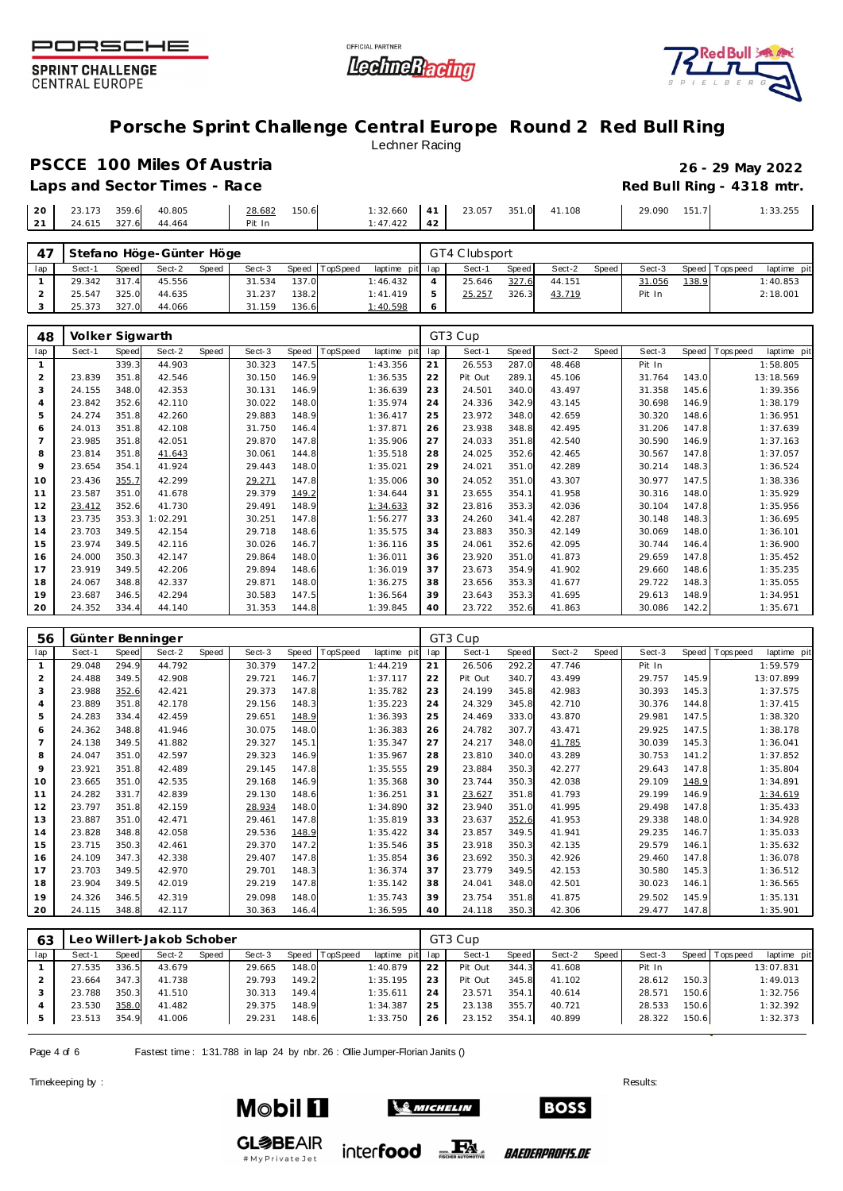![](_page_3_Picture_0.jpeg)

![](_page_3_Picture_1.jpeg)

![](_page_3_Picture_2.jpeg)

## **Porsche Sprint Challenge Central Europe Round 2 Red Bull Ring**

Lechner Racing

# **PSCCE 100 Miles Of Austria 26 - 29 May 2022**

|                              |                     | Laps and Sector Times - Race |                  |       |                                               |                 |  |              | Red Bull Ring - 4318 mtr. |
|------------------------------|---------------------|------------------------------|------------------|-------|-----------------------------------------------|-----------------|--|--------------|---------------------------|
| 20 23.173 359.6 40.805<br>21 | 24.615 327.6 44.464 |                              | 28.682<br>Pit In | 150.6 | $1:32.660$ 41 23.057 351.0 41.108<br>1:47.422 | 42 <sup>1</sup> |  | 29.090 151.7 | 1:33.255                  |

|     |        |       | Stefano Höge-Günter Höge |       |        |       |                |                 |         | GT4 Clubsport |       |        |       |        |       |                 |             |
|-----|--------|-------|--------------------------|-------|--------|-------|----------------|-----------------|---------|---------------|-------|--------|-------|--------|-------|-----------------|-------------|
| lap | Sect-1 | Speed | Sect-2                   | Speed | Sect-3 |       | Speed TopSpeed | laptime pit lap |         | Sect-1        | Speed | Sect-2 | Speed | Sect-3 |       | Speed Tops peed | laptime pit |
|     | 29.342 | 317.4 | 45.556                   |       | 31.534 | 137.0 |                | 1:46.432        |         | 25.646        | 327.6 | 44.151 |       | 31.056 | 138.9 |                 | 1:40.853    |
|     | 25.547 | 325.0 | 44.635                   |       | 31.237 | 138.2 |                | 1:41.419        |         | 25.257        | 326.3 | 43.719 |       | Pit In |       |                 | 2:18.001    |
|     | 25.373 | 327.0 | 44.066                   |       | 31.159 | 136.6 |                | 1:40.598        | $\circ$ |               |       |        |       |        |       |                 |             |

| 48             | Volker Sigwarth |       |          |       |        |       |          |             |     | GT3 Cup |       |        |       |        |       |            |             |
|----------------|-----------------|-------|----------|-------|--------|-------|----------|-------------|-----|---------|-------|--------|-------|--------|-------|------------|-------------|
| lap            | Sect-1          | Speed | Sect-2   | Speed | Sect-3 | Speed | TopSpeed | laptime pit | lap | Sect-1  | Speed | Sect-2 | Speed | Sect-3 | Speed | Tops pee d | laptime pit |
|                |                 | 339.3 | 44.903   |       | 30.323 | 147.5 |          | 1:43.356    | 21  | 26.553  | 287.0 | 48.468 |       | Pit In |       |            | 1:58.805    |
| 2              | 23.839          | 351.8 | 42.546   |       | 30.150 | 146.9 |          | 1:36.535    | 22  | Pit Out | 289.1 | 45.106 |       | 31.764 | 143.0 |            | 13:18.569   |
| 3              | 24.155          | 348.0 | 42.353   |       | 30.131 | 146.9 |          | 1:36.639    | 23  | 24.501  | 340.0 | 43.497 |       | 31.358 | 145.6 |            | 1:39.356    |
| 4              | 23.842          | 352.6 | 42.110   |       | 30.022 | 148.0 |          | 1:35.974    | 24  | 24.336  | 342.9 | 43.145 |       | 30.698 | 146.9 |            | 1:38.179    |
| 5              | 24.274          | 351.8 | 42.260   |       | 29.883 | 148.9 |          | 1:36.417    | 25  | 23.972  | 348.0 | 42.659 |       | 30.320 | 148.6 |            | 1:36.951    |
| 6              | 24.013          | 351.8 | 42.108   |       | 31.750 | 146.4 |          | 1:37.871    | 26  | 23.938  | 348.8 | 42.495 |       | 31.206 | 147.8 |            | 1:37.639    |
| $\overline{7}$ | 23.985          | 351.8 | 42.051   |       | 29.870 | 147.8 |          | 1:35.906    | 27  | 24.033  | 351.8 | 42.540 |       | 30.590 | 146.9 |            | 1:37.163    |
| 8              | 23.814          | 351.8 | 41.643   |       | 30.061 | 144.8 |          | 1:35.518    | 28  | 24.025  | 352.6 | 42.465 |       | 30.567 | 147.8 |            | 1:37.057    |
| 9              | 23.654          | 354.1 | 41.924   |       | 29.443 | 148.0 |          | 1:35.021    | 29  | 24.021  | 351.0 | 42.289 |       | 30.214 | 148.3 |            | 1:36.524    |
| 10             | 23.436          | 355.7 | 42.299   |       | 29.271 | 147.8 |          | 1:35.006    | 30  | 24.052  | 351.0 | 43.307 |       | 30.977 | 147.5 |            | 1:38.336    |
| 11             | 23.587          | 351.0 | 41.678   |       | 29.379 | 149.2 |          | 1:34.644    | 31  | 23.655  | 354.1 | 41.958 |       | 30.316 | 148.0 |            | 1:35.929    |
| 12             | 23.412          | 352.6 | 41.730   |       | 29.491 | 148.9 |          | 1:34.633    | 32  | 23.816  | 353.3 | 42.036 |       | 30.104 | 147.8 |            | 1:35.956    |
| 13             | 23.735          | 353.3 | 1:02.291 |       | 30.251 | 147.8 |          | 1:56.277    | 33  | 24.260  | 341.4 | 42.287 |       | 30.148 | 148.3 |            | 1:36.695    |
| 14             | 23.703          | 349.5 | 42.154   |       | 29.718 | 148.6 |          | 1:35.575    | 34  | 23.883  | 350.3 | 42.149 |       | 30.069 | 148.0 |            | 1:36.101    |
| 15             | 23.974          | 349.5 | 42.116   |       | 30.026 | 146.7 |          | 1:36.116    | 35  | 24.061  | 352.6 | 42.095 |       | 30.744 | 146.4 |            | 1:36.900    |
| 16             | 24.000          | 350.3 | 42.147   |       | 29.864 | 148.0 |          | 1:36.011    | 36  | 23.920  | 351.0 | 41.873 |       | 29.659 | 147.8 |            | 1:35.452    |
| 17             | 23.919          | 349.5 | 42.206   |       | 29.894 | 148.6 |          | 1:36.019    | 37  | 23.673  | 354.9 | 41.902 |       | 29.660 | 148.6 |            | 1:35.235    |
| 18             | 24.067          | 348.8 | 42.337   |       | 29.871 | 148.0 |          | 1:36.275    | 38  | 23.656  | 353.3 | 41.677 |       | 29.722 | 148.3 |            | 1:35.055    |
| 19             | 23.687          | 346.5 | 42.294   |       | 30.583 | 147.5 |          | 1:36.564    | 39  | 23.643  | 353.3 | 41.695 |       | 29.613 | 148.9 |            | 1:34.951    |
| 20             | 24.352          | 334.4 | 44.140   |       | 31.353 | 144.8 |          | 1:39.845    | 40  | 23.722  | 352.6 | 41.863 |       | 30.086 | 142.2 |            | 1:35.671    |

| 56             |        |              | Günter Benninger |       |        |       |          |             |     | GT3 Cup |       |        |       |        |       |          |             |
|----------------|--------|--------------|------------------|-------|--------|-------|----------|-------------|-----|---------|-------|--------|-------|--------|-------|----------|-------------|
| lap            | Sect-1 | <b>Speed</b> | Sect-2           | Speed | Sect-3 | Speed | TopSpeed | laptime pit | lap | Sect-1  | Speed | Sect-2 | Speed | Sect-3 | Speed | Topspeed | laptime pit |
| $\mathbf{1}$   | 29.048 | 294.9        | 44.792           |       | 30.379 | 147.2 |          | 1:44.219    | 21  | 26.506  | 292.2 | 47.746 |       | Pit In |       |          | 1:59.579    |
| $\overline{2}$ | 24.488 | 349.5        | 42.908           |       | 29.721 | 146.7 |          | 1:37.117    | 22  | Pit Out | 340.7 | 43.499 |       | 29.757 | 145.9 |          | 13:07.899   |
| 3              | 23.988 | 352.6        | 42.421           |       | 29.373 | 147.8 |          | 1:35.782    | 23  | 24.199  | 345.8 | 42.983 |       | 30.393 | 145.3 |          | 1:37.575    |
| $\overline{4}$ | 23.889 | 351.8        | 42.178           |       | 29.156 | 148.3 |          | 1:35.223    | 24  | 24.329  | 345.8 | 42.710 |       | 30.376 | 144.8 |          | 1:37.415    |
| 5              | 24.283 | 334.4        | 42.459           |       | 29.651 | 148.9 |          | 1:36.393    | 25  | 24.469  | 333.0 | 43.870 |       | 29.981 | 147.5 |          | 1:38.320    |
| 6              | 24.362 | 348.8        | 41.946           |       | 30.075 | 148.0 |          | 1:36.383    | 26  | 24.782  | 307.7 | 43.471 |       | 29.925 | 147.5 |          | 1:38.178    |
| $\overline{7}$ | 24.138 | 349.5        | 41.882           |       | 29.327 | 145.1 |          | 1:35.347    | 27  | 24.217  | 348.0 | 41.785 |       | 30.039 | 145.3 |          | 1:36.041    |
| 8              | 24.047 | 351.0        | 42.597           |       | 29.323 | 146.9 |          | 1:35.967    | 28  | 23.810  | 340.0 | 43.289 |       | 30.753 | 141.2 |          | 1:37.852    |
| 9              | 23.921 | 351.8        | 42.489           |       | 29.145 | 147.8 |          | 1:35.555    | 29  | 23.884  | 350.3 | 42.277 |       | 29.643 | 147.8 |          | 1:35.804    |
| 10             | 23.665 | 351.0        | 42.535           |       | 29.168 | 146.9 |          | 1:35.368    | 30  | 23.744  | 350.3 | 42.038 |       | 29.109 | 148.9 |          | 1:34.891    |
| 11             | 24.282 | 331.7        | 42.839           |       | 29.130 | 148.6 |          | 1:36.251    | 31  | 23.627  | 351.8 | 41.793 |       | 29.199 | 146.9 |          | 1:34.619    |
| 12             | 23.797 | 351.8        | 42.159           |       | 28.934 | 148.0 |          | 1:34.890    | 32  | 23.940  | 351.0 | 41.995 |       | 29.498 | 147.8 |          | 1:35.433    |
| 13             | 23.887 | 351.0        | 42.471           |       | 29.461 | 147.8 |          | 1:35.819    | 33  | 23.637  | 352.6 | 41.953 |       | 29.338 | 148.0 |          | 1:34.928    |
| 14             | 23.828 | 348.8        | 42.058           |       | 29.536 | 148.9 |          | 1:35.422    | 34  | 23.857  | 349.5 | 41.941 |       | 29.235 | 146.7 |          | 1:35.033    |
| 15             | 23.715 | 350.3        | 42.461           |       | 29.370 | 147.2 |          | 1:35.546    | 35  | 23.918  | 350.3 | 42.135 |       | 29.579 | 146.1 |          | 1:35.632    |
| 16             | 24.109 | 347.3        | 42.338           |       | 29.407 | 147.8 |          | 1:35.854    | 36  | 23.692  | 350.3 | 42.926 |       | 29.460 | 147.8 |          | 1:36.078    |
| 17             | 23.703 | 349.5        | 42.970           |       | 29.701 | 148.3 |          | 1:36.374    | 37  | 23.779  | 349.5 | 42.153 |       | 30.580 | 145.3 |          | 1:36.512    |
| 18             | 23.904 | 349.5        | 42.019           |       | 29.219 | 147.8 |          | 1:35.142    | 38  | 24.041  | 348.0 | 42.501 |       | 30.023 | 146.1 |          | 1:36.565    |
| 19             | 24.326 | 346.5        | 42.319           |       | 29.098 | 148.0 |          | 1:35.743    | 39  | 23.754  | 351.8 | 41.875 |       | 29.502 | 145.9 |          | 1:35.131    |
| 20             | 24.115 | 348.8        | 42.117           |       | 30.363 | 146.4 |          | 1:36.595    | 40  | 24.118  | 350.3 | 42.306 |       | 29.477 | 147.8 |          | 1:35.901    |

| 63  | eo Willert-Jakob Schober |       |        |       |        |       |                |                 | GT3 Cup |         |       |        |       |        |       |                 |             |  |
|-----|--------------------------|-------|--------|-------|--------|-------|----------------|-----------------|---------|---------|-------|--------|-------|--------|-------|-----------------|-------------|--|
| lap | Sect-1                   | Speed | Sect-2 | Speed | Sect-3 |       | Speed TopSpeed | laptime pit lap |         | Sect-1  | Speed | Sect-2 | Speed | Sect-3 |       | Speed Tops peed | laptime pit |  |
|     | 27.535                   | 336.5 | 43.679 |       | 29.665 | 148.0 |                | 1:40.879        | 22      | Pit Out | 344.3 | 41.608 |       | Pit In |       |                 | 13:07.831   |  |
|     | 23.664                   | 347.3 | 41.738 |       | 29.793 | 149.2 |                | 1:35.195        | 23      | Pit Out | 345.8 | 41.102 |       | 28.612 | 150.3 |                 | 1:49.013    |  |
|     | 23.788                   | 350.3 | 41.510 |       | 30.313 | 149.4 |                | 1:35.611        | 24      | 23.571  | 354.1 | 40.614 |       | 28.571 | 150.6 |                 | 1:32.756    |  |
|     | 23.530                   | 358.0 | 41.482 |       | 29.375 | 148.9 |                | 1:34.387        | 25      | 23.138  | 355.7 | 40.721 |       | 28.533 | 150.6 |                 | 1:32.392    |  |
|     | 23.513                   | 354.9 | 41.006 |       | 29.231 | 148.6 |                | 1:33.750        | 26      | 23.152  | 354.1 | 40.899 |       | 28.322 | 150.6 |                 | 1:32.373    |  |

Page 4 of 6 Fastest time: 1:31.788 in lap 24 by nbr. 26 : Ollie Jumper-Florian Janits ()

# My Private Jet

Timekeeping by : Results:  $\blacksquare$ 

![](_page_3_Picture_13.jpeg)

![](_page_3_Picture_14.jpeg)

*BAEDERPROFIS.DE* 

inter**food** EX

**BOSS**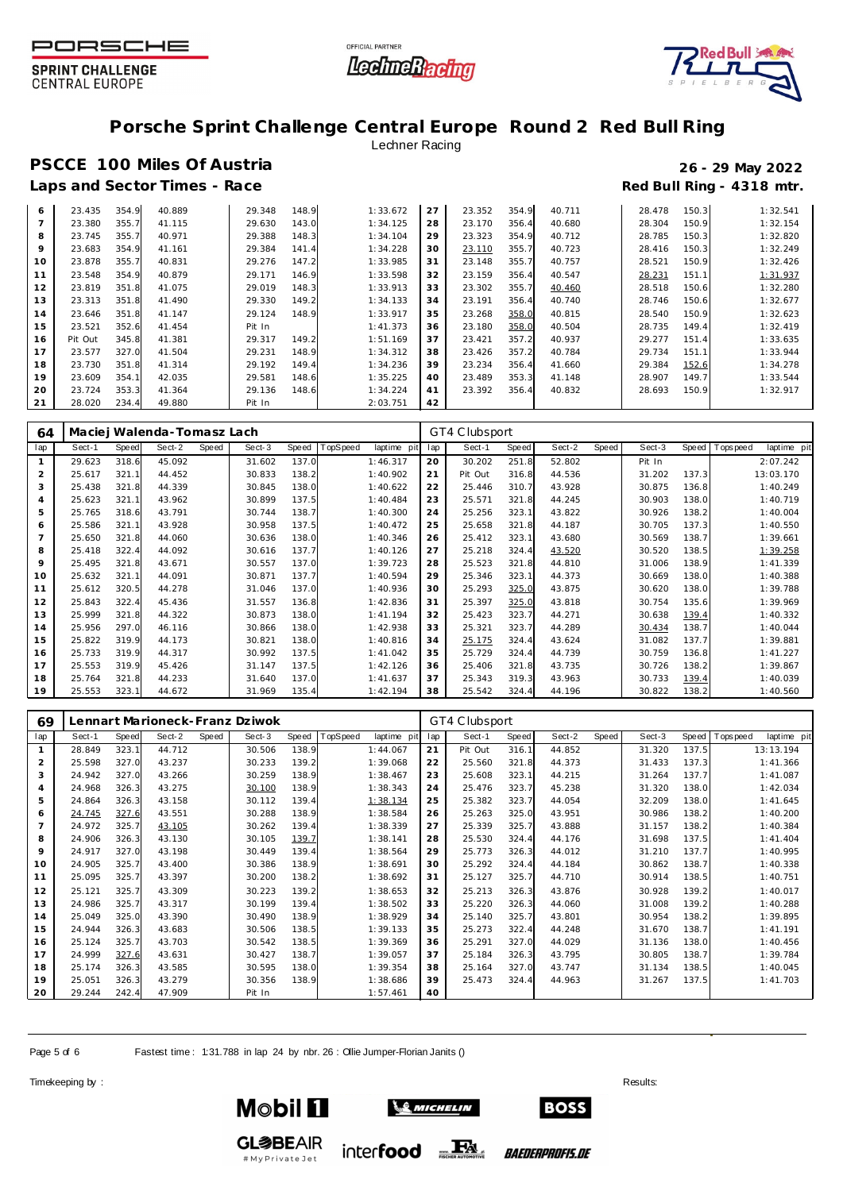![](_page_4_Picture_0.jpeg)

![](_page_4_Picture_1.jpeg)

![](_page_4_Picture_2.jpeg)

## **Porsche Sprint Challenge Central Europe Round 2 Red Bull Ring**

### Lechner Racing

## **PSCCE 100 Miles Of Austria 26 - 29 May 2022** Laps and Sector Times - Race **Race** *Race* **Red Bull Ring - 4318 mtr.**

| 6  | 23.435  | 354.9 | 40.889 | 29.348 | 148.9 | 1:33.672 | 27 | 23.352 | 354.9 | 40.711 | 28.478 | 150.3 | 1:32.541 |
|----|---------|-------|--------|--------|-------|----------|----|--------|-------|--------|--------|-------|----------|
|    | 23.380  | 355.7 | 41.115 | 29.630 | 143.0 | 1:34.125 | 28 | 23.170 | 356.4 | 40.680 | 28.304 | 150.9 | 1:32.154 |
| 8  | 23.745  | 355.7 | 40.971 | 29.388 | 148.3 | 1:34.104 | 29 | 23.323 | 354.9 | 40.712 | 28.785 | 150.3 | 1:32.820 |
| 9  | 23.683  | 354.9 | 41.161 | 29.384 | 141.4 | 1:34.228 | 30 | 23.110 | 355.7 | 40.723 | 28.416 | 150.3 | 1:32.249 |
| 10 | 23.878  | 355.7 | 40.831 | 29.276 | 147.2 | 1:33.985 | 31 | 23.148 | 355.7 | 40.757 | 28.521 | 150.9 | 1:32.426 |
| 11 | 23.548  | 354.9 | 40.879 | 29.171 | 146.9 | 1:33.598 | 32 | 23.159 | 356.4 | 40.547 | 28.231 | 151.1 | 1:31.937 |
| 12 | 23.819  | 351.8 | 41.075 | 29.019 | 148.3 | 1:33.913 | 33 | 23.302 | 355.7 | 40.460 | 28.518 | 150.6 | 1:32.280 |
| 13 | 23.313  | 351.8 | 41.490 | 29.330 | 149.2 | 1:34.133 | 34 | 23.191 | 356.4 | 40.740 | 28.746 | 150.6 | 1:32.677 |
| 14 | 23.646  | 351.8 | 41.147 | 29.124 | 148.9 | 1:33.917 | 35 | 23.268 | 358.0 | 40.815 | 28.540 | 150.9 | 1:32.623 |
| 15 | 23.521  | 352.6 | 41.454 | Pit In |       | 1:41.373 | 36 | 23.180 | 358.0 | 40.504 | 28.735 | 149.4 | 1:32.419 |
| 16 | Pit Out | 345.8 | 41.381 | 29.317 | 149.2 | 1:51.169 | 37 | 23.421 | 357.2 | 40.937 | 29.277 | 151.4 | 1:33.635 |
| 17 | 23.577  | 327.0 | 41.504 | 29.231 | 148.9 | 1:34.312 | 38 | 23.426 | 357.2 | 40.784 | 29.734 | 151.1 | 1:33.944 |
| 18 | 23.730  | 351.8 | 41.314 | 29.192 | 149.4 | 1:34.236 | 39 | 23.234 | 356.4 | 41.660 | 29.384 | 152.6 | 1:34.278 |
| 19 | 23.609  | 354.1 | 42.035 | 29.581 | 148.6 | 1:35.225 | 40 | 23.489 | 353.3 | 41.148 | 28.907 | 149.7 | 1:33.544 |
| 20 | 23.724  | 353.3 | 41.364 | 29.136 | 148.6 | 1:34.224 | 41 | 23.392 | 356.4 | 40.832 | 28.693 | 150.9 | 1:32.917 |
| 21 | 28.020  | 234.4 | 49.880 | Pit In |       | 2:03.751 | 42 |        |       |        |        |       |          |

| 64             | Maciej Walenda-Tomasz Lach |              |        |       |        |       |          |             | GT4 Clubsport |         |       |        |       |        |       |           |             |
|----------------|----------------------------|--------------|--------|-------|--------|-------|----------|-------------|---------------|---------|-------|--------|-------|--------|-------|-----------|-------------|
| lap            | Sect-1                     | <b>Speed</b> | Sect-2 | Speed | Sect-3 | Speed | TopSpeed | laptime pit | lap           | Sect-1  | Speed | Sect-2 | Speed | Sect-3 | Speed | Tops peed | laptime pit |
|                | 29.623                     | 318.6        | 45.092 |       | 31.602 | 137.0 |          | 1:46.317    | 20            | 30.202  | 251.8 | 52.802 |       | Pit In |       |           | 2:07.242    |
| 2              | 25.617                     | 321.1        | 44.452 |       | 30.833 | 138.2 |          | 1:40.902    | 21            | Pit Out | 316.8 | 44.536 |       | 31.202 | 137.3 |           | 13:03.170   |
| 3              | 25.438                     | 321.8        | 44.339 |       | 30.845 | 138.0 |          | 1:40.622    | 22            | 25.446  | 310.7 | 43.928 |       | 30.875 | 136.8 |           | 1:40.249    |
| $\overline{4}$ | 25.623                     | 321.1        | 43.962 |       | 30.899 | 137.5 |          | 1:40.484    | 23            | 25.571  | 321.8 | 44.245 |       | 30.903 | 138.0 |           | 1:40.719    |
| 5              | 25.765                     | 318.6        | 43.791 |       | 30.744 | 138.7 |          | 1:40.300    | 24            | 25.256  | 323.1 | 43.822 |       | 30.926 | 138.2 |           | 1:40.004    |
| 6              | 25.586                     | 321.1        | 43.928 |       | 30.958 | 137.5 |          | 1:40.472    | 25            | 25.658  | 321.8 | 44.187 |       | 30.705 | 137.3 |           | 1:40.550    |
| 7              | 25.650                     | 321.8        | 44.060 |       | 30.636 | 138.0 |          | 1:40.346    | 26            | 25.412  | 323.1 | 43.680 |       | 30.569 | 138.7 |           | 1:39.661    |
| 8              | 25.418                     | 322.4        | 44.092 |       | 30.616 | 137.7 |          | 1:40.126    | 27            | 25.218  | 324.4 | 43.520 |       | 30.520 | 138.5 |           | 1:39.258    |
| 9              | 25.495                     | 321.8        | 43.671 |       | 30.557 | 137.0 |          | 1:39.723    | 28            | 25.523  | 321.8 | 44.810 |       | 31.006 | 138.9 |           | 1:41.339    |
| 10             | 25.632                     | 321.1        | 44.091 |       | 30.871 | 137.7 |          | 1:40.594    | 29            | 25.346  | 323.1 | 44.373 |       | 30.669 | 138.0 |           | 1:40.388    |
| 11             | 25.612                     | 320.5        | 44.278 |       | 31.046 | 137.0 |          | 1:40.936    | 30            | 25.293  | 325.0 | 43.875 |       | 30.620 | 138.0 |           | 1:39.788    |
| 12             | 25.843                     | 322.4        | 45.436 |       | 31.557 | 136.8 |          | 1:42.836    | 31            | 25.397  | 325.0 | 43.818 |       | 30.754 | 135.6 |           | 1:39.969    |
| 13             | 25.999                     | 321.8        | 44.322 |       | 30.873 | 138.0 |          | 1:41.194    | 32            | 25.423  | 323.7 | 44.271 |       | 30.638 | 139.4 |           | 1:40.332    |
| 14             | 25.956                     | 297.0        | 46.116 |       | 30.866 | 138.0 |          | 1:42.938    | 33            | 25.321  | 323.7 | 44.289 |       | 30.434 | 138.7 |           | 1:40.044    |
| 15             | 25.822                     | 319.9        | 44.173 |       | 30.821 | 138.0 |          | 1:40.816    | 34            | 25.175  | 324.4 | 43.624 |       | 31.082 | 137.7 |           | 1:39.881    |
| 16             | 25.733                     | 319.9        | 44.317 |       | 30.992 | 137.5 |          | 1:41.042    | 35            | 25.729  | 324.4 | 44.739 |       | 30.759 | 136.8 |           | 1:41.227    |
| 17             | 25.553                     | 319.9        | 45.426 |       | 31.147 | 137.5 |          | 1:42.126    | 36            | 25.406  | 321.8 | 43.735 |       | 30.726 | 138.2 |           | 1:39.867    |
| 18             | 25.764                     | 321.8        | 44.233 |       | 31.640 | 137.0 |          | 1:41.637    | 37            | 25.343  | 319.3 | 43.963 |       | 30.733 | 139.4 |           | 1:40.039    |
| 19             | 25.553                     | 323.1        | 44.672 |       | 31.969 | 135.4 |          | 1:42.194    | 38            | 25.542  | 324.4 | 44.196 |       | 30.822 | 138.2 |           | 1:40.560    |

| 69             | Lennart Marioneck-Franz Dziwok |       |        |       |        |       |          |             |     | GT4 Clubsport |       |        |       |        |       |                 |             |
|----------------|--------------------------------|-------|--------|-------|--------|-------|----------|-------------|-----|---------------|-------|--------|-------|--------|-------|-----------------|-------------|
| lap            | Sect-1                         | Speed | Sect-2 | Speed | Sect-3 | Speed | TopSpeed | laptime pit | lap | Sect-1        | Speed | Sect-2 | Speed | Sect-3 |       | Speed Tops peed | laptime pit |
|                | 28.849                         | 323.1 | 44.712 |       | 30.506 | 138.9 |          | 1:44.067    | 21  | Pit Out       | 316.1 | 44.852 |       | 31.320 | 137.5 |                 | 13:13.194   |
| 2              | 25.598                         | 327.0 | 43.237 |       | 30.233 | 139.2 |          | 1:39.068    | 22  | 25.560        | 321.8 | 44.373 |       | 31.433 | 137.3 |                 | 1:41.366    |
| 3              | 24.942                         | 327.0 | 43.266 |       | 30.259 | 138.9 |          | 1:38.467    | 23  | 25.608        | 323.1 | 44.215 |       | 31.264 | 137.7 |                 | 1:41.087    |
| $\overline{4}$ | 24.968                         | 326.3 | 43.275 |       | 30.100 | 138.9 |          | 1:38.343    | 24  | 25.476        | 323.7 | 45.238 |       | 31.320 | 138.0 |                 | 1:42.034    |
| 5              | 24.864                         | 326.3 | 43.158 |       | 30.112 | 139.4 |          | 1:38.134    | 25  | 25.382        | 323.7 | 44.054 |       | 32.209 | 138.0 |                 | 1:41.645    |
| 6              | 24.745                         | 327.6 | 43.551 |       | 30.288 | 138.9 |          | 1:38.584    | 26  | 25.263        | 325.0 | 43.951 |       | 30.986 | 138.2 |                 | 1:40.200    |
|                | 24.972                         | 325.7 | 43.105 |       | 30.262 | 139.4 |          | 1:38.339    | 27  | 25.339        | 325.7 | 43.888 |       | 31.157 | 138.2 |                 | 1:40.384    |
| 8              | 24.906                         | 326.3 | 43.130 |       | 30.105 | 139.7 |          | 1:38.141    | 28  | 25.530        | 324.4 | 44.176 |       | 31.698 | 137.5 |                 | 1: 41.404   |
| 9              | 24.917                         | 327.0 | 43.198 |       | 30.449 | 139.4 |          | 1:38.564    | 29  | 25.773        | 326.3 | 44.012 |       | 31.210 | 137.7 |                 | 1:40.995    |
| 10             | 24.905                         | 325.7 | 43.400 |       | 30.386 | 138.9 |          | 1:38.691    | 30  | 25.292        | 324.4 | 44.184 |       | 30.862 | 138.7 |                 | 1:40.338    |
| 11             | 25.095                         | 325.7 | 43.397 |       | 30.200 | 138.2 |          | 1:38.692    | 31  | 25.127        | 325.7 | 44.710 |       | 30.914 | 138.5 |                 | 1:40.751    |
| 12             | 25.121                         | 325.7 | 43.309 |       | 30.223 | 139.2 |          | 1:38.653    | 32  | 25.213        | 326.3 | 43.876 |       | 30.928 | 139.2 |                 | 1:40.017    |
| 13             | 24.986                         | 325.7 | 43.317 |       | 30.199 | 139.4 |          | 1:38.502    | 33  | 25.220        | 326.3 | 44.060 |       | 31.008 | 139.2 |                 | 1:40.288    |
| 14             | 25.049                         | 325.0 | 43.390 |       | 30.490 | 138.9 |          | 1:38.929    | 34  | 25.140        | 325.7 | 43.801 |       | 30.954 | 138.2 |                 | 1:39.895    |
| 15             | 24.944                         | 326.3 | 43.683 |       | 30.506 | 138.5 |          | 1:39.133    | 35  | 25.273        | 322.4 | 44.248 |       | 31.670 | 138.7 |                 | 1:41.191    |
| 16             | 25.124                         | 325.7 | 43.703 |       | 30.542 | 138.5 |          | 1:39.369    | 36  | 25.291        | 327.0 | 44.029 |       | 31.136 | 138.0 |                 | 1:40.456    |
| 17             | 24.999                         | 327.6 | 43.631 |       | 30.427 | 138.7 |          | 1:39.057    | 37  | 25.184        | 326.3 | 43.795 |       | 30.805 | 138.7 |                 | 1:39.784    |
| 18             | 25.174                         | 326.3 | 43.585 |       | 30.595 | 138.0 |          | 1:39.354    | 38  | 25.164        | 327.0 | 43.747 |       | 31.134 | 138.5 |                 | 1:40.045    |
| 19             | 25.051                         | 326.3 | 43.279 |       | 30.356 | 138.9 |          | 1:38.686    | 39  | 25.473        | 324.4 | 44.963 |       | 31.267 | 137.5 |                 | 1:41.703    |
| 20             | 29.244                         | 242.4 | 47.909 |       | Pit In |       |          | 1:57.461    | 40  |               |       |        |       |        |       |                 |             |

Page 5 of 6 Fastest time : 1:31.788 in lap 24 by nbr. 26 : Ollie Jumper-Florian Janits ()

#MyPrivateJet

Timekeeping by : Results:  $\blacksquare$ 

![](_page_4_Picture_13.jpeg)